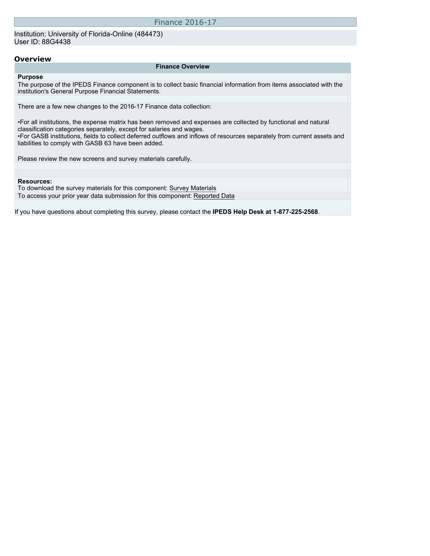Institution: University of Florida-Online (484473) User ID: 88G4438

#### **Overview**

#### **Finance Overview**

#### **Purpose**

The purpose of the IPEDS Finance component is to collect basic financial information from items associated with the institution's General Purpose Financial Statements.

There are a few new changes to the 2016-17 Finance data collection:

•For all institutions, the expense matrix has been removed and expenses are collected by functional and natural classification categories separately, except for salaries and wages. •For GASB institutions, fields to collect deferred outflows and inflows of resources separately from current assets and liabilities to comply with GASB 63 have been added.

Please review the new screens and survey materials carefully.

#### **Resources:**

To download the survey materials for this component: [Survey Materials](https://surveys.nces.ed.gov/ipeds/VisIndex.aspx) To access your prior year data submission for this component: [Reported Data](http://192.168.102.89/IPEDS/PriorYearDataRedirect.aspx?survey_id=5)

If you have questions about completing this survey, please contact the **IPEDS Help Desk at 1-877-225-2568**.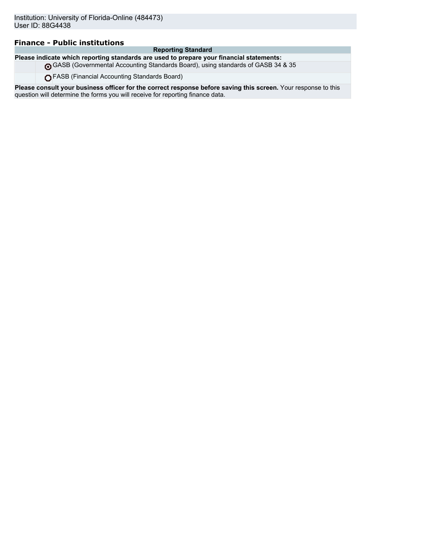## **Finance - Public institutions**

#### **Reporting Standard**

**Please indicate which reporting standards are used to prepare your financial statements:**

GASB (Governmental Accounting Standards Board), using standards of GASB 34 & 35

FASB (Financial Accounting Standards Board)

**Please consult your business officer for the correct response before saving this screen.** Your response to this question will determine the forms you will receive for reporting finance data.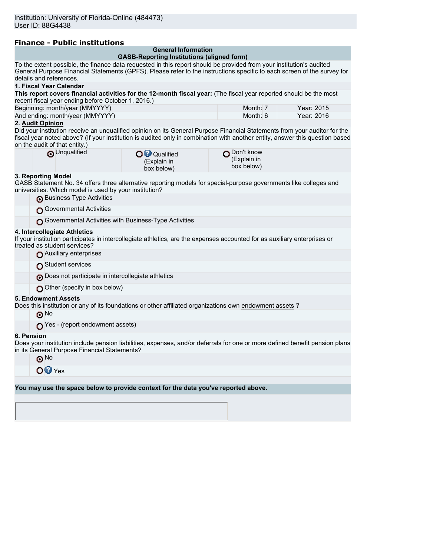| <b>Finance - Public institutions</b> |  |
|--------------------------------------|--|
|--------------------------------------|--|

| Filiance - Fublic Institutions                                                                                                                                                                                                                                                             |                                                                                 |            |
|--------------------------------------------------------------------------------------------------------------------------------------------------------------------------------------------------------------------------------------------------------------------------------------------|---------------------------------------------------------------------------------|------------|
|                                                                                                                                                                                                                                                                                            | <b>General Information</b><br><b>GASB-Reporting Institutions (aligned form)</b> |            |
| To the extent possible, the finance data requested in this report should be provided from your institution's audited<br>General Purpose Financial Statements (GPFS). Please refer to the instructions specific to each screen of the survey for<br>details and references.                 |                                                                                 |            |
| 1. Fiscal Year Calendar                                                                                                                                                                                                                                                                    |                                                                                 |            |
| This report covers financial activities for the 12-month fiscal year: (The fiscal year reported should be the most<br>recent fiscal year ending before October 1, 2016.)                                                                                                                   |                                                                                 |            |
| Beginning: month/year (MMYYYY)                                                                                                                                                                                                                                                             | Month: 7                                                                        | Year: 2015 |
| And ending: month/year (MMYYYY)                                                                                                                                                                                                                                                            | Month: 6                                                                        | Year: 2016 |
| 2. Audit Opinion                                                                                                                                                                                                                                                                           |                                                                                 |            |
| Did your institution receive an unqualified opinion on its General Purpose Financial Statements from your auditor for the<br>fiscal year noted above? (If your institution is audited only in combination with another entity, answer this question based<br>on the audit of that entity.) |                                                                                 |            |
| O Unqualified<br>O <sup>O</sup> Qualified<br>(Explain in<br>box below)                                                                                                                                                                                                                     | Don't know<br>(Explain in<br>box below)                                         |            |
| 3. Reporting Model<br>GASB Statement No. 34 offers three alternative reporting models for special-purpose governments like colleges and<br>universities. Which model is used by your institution?                                                                                          |                                                                                 |            |
| Business Type Activities                                                                                                                                                                                                                                                                   |                                                                                 |            |
| Governmental Activities                                                                                                                                                                                                                                                                    |                                                                                 |            |
| Governmental Activities with Business-Type Activities                                                                                                                                                                                                                                      |                                                                                 |            |
| 4. Intercollegiate Athletics<br>If your institution participates in intercollegiate athletics, are the expenses accounted for as auxiliary enterprises or<br>treated as student services?                                                                                                  |                                                                                 |            |
| Auxiliary enterprises                                                                                                                                                                                                                                                                      |                                                                                 |            |
| Student services                                                                                                                                                                                                                                                                           |                                                                                 |            |
| Does not participate in intercollegiate athletics                                                                                                                                                                                                                                          |                                                                                 |            |
| Other (specify in box below)                                                                                                                                                                                                                                                               |                                                                                 |            |
| <b>5. Endowment Assets</b><br>? Does this institution or any of its foundations or other affiliated organizations own endowment assets<br>$\odot$ No                                                                                                                                       |                                                                                 |            |
| $\bigcap$ Yes - (report endowment assets)                                                                                                                                                                                                                                                  |                                                                                 |            |
| 6. Pension                                                                                                                                                                                                                                                                                 |                                                                                 |            |
| Does your institution include pension liabilities, expenses, and/or deferrals for one or more defined benefit pension plans<br>in its General Purpose Financial Statements?                                                                                                                |                                                                                 |            |
| $\odot$ No                                                                                                                                                                                                                                                                                 |                                                                                 |            |
| OQYes                                                                                                                                                                                                                                                                                      |                                                                                 |            |
|                                                                                                                                                                                                                                                                                            |                                                                                 |            |
| You may use the space below to provide context for the data you've reported above.                                                                                                                                                                                                         |                                                                                 |            |
|                                                                                                                                                                                                                                                                                            |                                                                                 |            |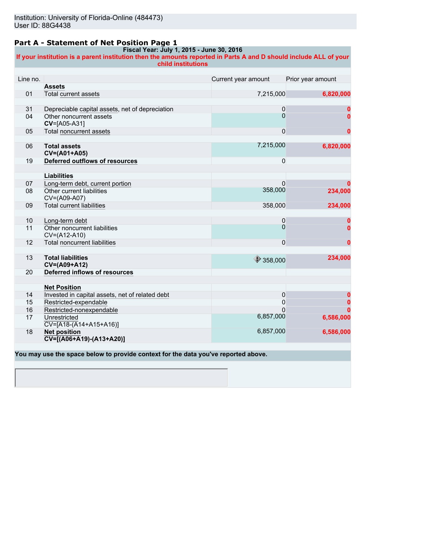### **Part A - Statement of Net Position Page 1**

#### **Fiscal Year: July 1, 2015 - June 30, 2016**

**If your institution is a parent institution then the amounts reported in Parts A and D should include ALL of your child institutions**

| Line no. |                                                              | Current year amount | Prior year amount |
|----------|--------------------------------------------------------------|---------------------|-------------------|
|          | <b>Assets</b>                                                |                     |                   |
| 01       | Total current assets                                         | 7,215,000           | 6,820,000         |
|          |                                                              |                     |                   |
| 31       | Depreciable capital assets, net of depreciation              | 0                   |                   |
| 04       | Other noncurrent assets<br>CV=[A05-A31]                      | $\Omega$            |                   |
| 05       | <b>Total noncurrent assets</b>                               | $\mathbf{0}$        | 0                 |
|          |                                                              |                     |                   |
| 06       | <b>Total assets</b><br>CV=(A01+A05)                          | 7,215,000           | 6,820,000         |
| 19       | Deferred outflows of resources                               | $\mathbf{0}$        |                   |
|          |                                                              |                     |                   |
|          | <b>Liabilities</b>                                           |                     |                   |
| 07       | Long-term debt, current portion                              | $\Omega$            |                   |
| 08       | Other current liabilities<br>CV=(A09-A07)                    | 358,000             | 234,000           |
| 09       | <b>Total current liabilities</b>                             | 358,000             | 234,000           |
|          |                                                              |                     |                   |
| 10       | Long-term debt                                               | $\pmb{0}$           | 0                 |
| 11       | Other noncurrent liabilities<br>CV=(A12-A10)                 | $\Omega$            | O                 |
| 12       | <b>Total noncurrent liabilities</b>                          | $\Omega$            | 0                 |
|          |                                                              |                     |                   |
| 13       | <b>Total liabilities</b><br>CV=(A09+A12)                     | $\bigcirc$ 358,000  | 234,000           |
| 20       | Deferred inflows of resources                                |                     |                   |
|          |                                                              |                     |                   |
|          | <b>Net Position</b>                                          |                     |                   |
| 14       | Invested in capital assets, net of related debt              | 0                   |                   |
| 15       | Restricted-expendable                                        | 0                   | 0                 |
| 16       | Restricted-nonexpendable                                     | U                   |                   |
| 17       | Unrestricted<br>$\overline{CV=[A18-(A14+A15+A16)]}$          | 6,857,000           | 6,586,000         |
| 18       | <b>Net position</b><br>$\overline{CV=[(AO6+A19)-(A13+A20)]}$ | 6,857,000           | 6,586,000         |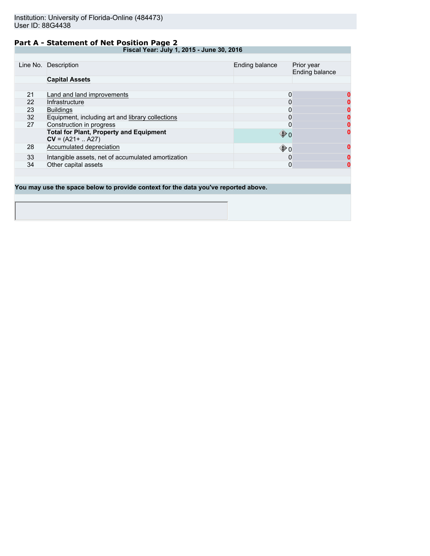### **Part A - Statement of Net Position Page 2**

**Fiscal Year: July 1, 2015 - June 30, 2016**

|    | Line No. Description                                                  | Ending balance          | Prior year<br>Ending balance |
|----|-----------------------------------------------------------------------|-------------------------|------------------------------|
|    | <b>Capital Assets</b>                                                 |                         |                              |
|    |                                                                       |                         |                              |
| 21 | Land and land improvements                                            | 0                       | O                            |
| 22 | Infrastructure                                                        |                         |                              |
| 23 | <b>Buildings</b>                                                      |                         |                              |
| 32 | Equipment, including art and library collections                      |                         |                              |
| 27 | Construction in progress                                              | 0                       |                              |
|    | <b>Total for Plant, Property and Equipment</b><br>$CV = (A21 +  A27)$ | $\mathbin{\clubsuit}$ 0 |                              |
| 28 | Accumulated depreciation                                              | $\mathbf{\Phi}$ o       | n                            |
| 33 | Intangible assets, net of accumulated amortization                    | O                       | o                            |
| 34 | Other capital assets                                                  | 0                       |                              |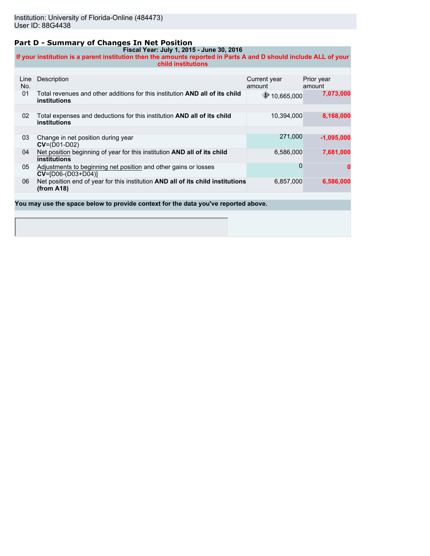### **Part D - Summary of Changes In Net Position**

**Fiscal Year: July 1, 2015 - June 30, 2016 If your institution is a parent institution then the amounts reported in Parts A and D should include ALL of your child institutions**

| Line<br>No. | Description                                                                                         | Current year<br>amount | Prior year<br>amount |
|-------------|-----------------------------------------------------------------------------------------------------|------------------------|----------------------|
| 01          | Total revenues and other additions for this institution <b>AND all of its child</b><br>institutions | $\bigcirc$ 10,665,000  | 7,073,000            |
|             |                                                                                                     |                        |                      |
| 02          | Total expenses and deductions for this institution AND all of its child<br>institutions             | 10,394,000             | 8,168,000            |
|             |                                                                                                     |                        |                      |
| 03          | Change in net position during year<br>$CV=(D01-D02)$                                                | 271.000                | $-1,095,000$         |
| 04          | Net position beginning of year for this institution AND all of its child<br>institutions            | 6,586,000              | 7,681,000            |
| 05          | Adjustments to beginning net position and other gains or losses<br>$CV = [D06-(D03+D04)]$           | $\Omega$               |                      |
| 06          | Net position end of year for this institution AND all of its child institutions<br>(from A18)       | 6,857,000              | 6,586,000            |
|             |                                                                                                     |                        |                      |
|             | You may use the space below to provide context for the data you've reported above.                  |                        |                      |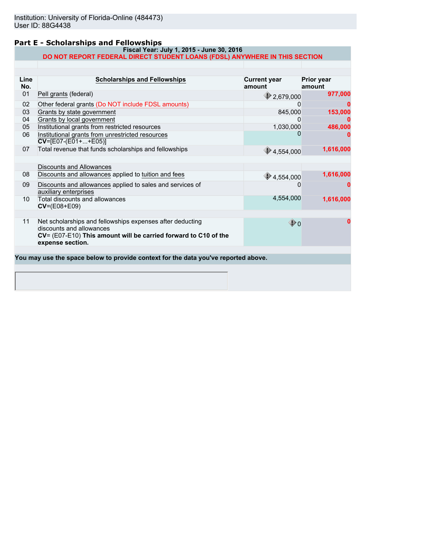## **Part E - Scholarships and Fellowships**

#### **Fiscal Year: July 1, 2015 - June 30, 2016 DO NOT REPORT FEDERAL DIRECT STUDENT LOANS (FDSL) ANYWHERE IN THIS SECTION**

| Line<br>No. | <b>Scholarships and Fellowships</b>                                                                                                                                          | <b>Current year</b><br>amount | <b>Prior year</b><br>amount |
|-------------|------------------------------------------------------------------------------------------------------------------------------------------------------------------------------|-------------------------------|-----------------------------|
| 01          | Pell grants (federal)                                                                                                                                                        | 2,679,000                     | 977,000                     |
| 02          | Other federal grants (Do NOT include FDSL amounts)                                                                                                                           |                               |                             |
| 03          | Grants by state government                                                                                                                                                   | 845,000                       | 153,000                     |
| 04          | Grants by local government                                                                                                                                                   |                               |                             |
| 05          | Institutional grants from restricted resources                                                                                                                               | 1,030,000                     | 486,000                     |
| 06          | Institutional grants from unrestricted resources<br>$CV=[E07-(E01++E05)]$                                                                                                    |                               |                             |
| 07          | Total revenue that funds scholarships and fellowships                                                                                                                        | $\bigcirc$ 4,554,000          | 1,616,000                   |
|             | <b>Discounts and Allowances</b>                                                                                                                                              |                               |                             |
| 08          | Discounts and allowances applied to tuition and fees                                                                                                                         | $\bigcirc$ 4,554,000          | 1,616,000                   |
| 09          | Discounts and allowances applied to sales and services of<br>auxiliary enterprises                                                                                           |                               |                             |
| 10          | Total discounts and allowances<br>$CV=(E08+E09)$                                                                                                                             | 4,554,000                     | 1,616,000                   |
|             |                                                                                                                                                                              |                               |                             |
| 11          | Net scholarships and fellowships expenses after deducting<br>discounts and allowances<br>CV= (E07-E10) This amount will be carried forward to C10 of the<br>expense section. | ⊕օ                            |                             |
|             |                                                                                                                                                                              |                               |                             |
|             | You may use the space below to provide context for the data you've reported above.                                                                                           |                               |                             |
|             |                                                                                                                                                                              |                               |                             |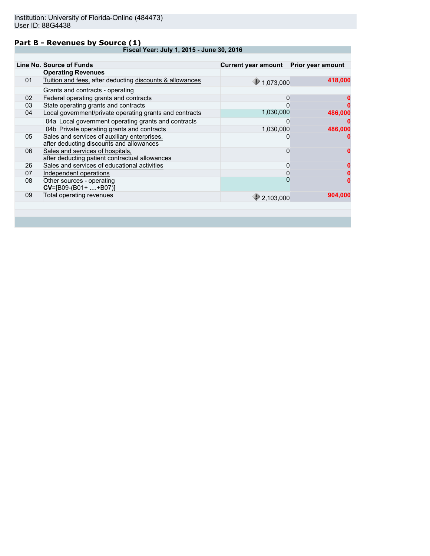### **Part B - Revenues by Source (1)**

**Fiscal Year: July 1, 2015 - June 30, 2016**

|    | Line No. Source of Funds                                                                 | Current year amount  Prior year amount |         |
|----|------------------------------------------------------------------------------------------|----------------------------------------|---------|
|    | <b>Operating Revenues</b>                                                                |                                        |         |
| 01 | Tuition and fees, after deducting discounts & allowances                                 | $*1,073,000$                           | 418,000 |
|    | Grants and contracts - operating                                                         |                                        |         |
| 02 | Federal operating grants and contracts                                                   | 0                                      |         |
| 03 | State operating grants and contracts                                                     | O                                      |         |
| 04 | Local government/private operating grants and contracts                                  | 1,030,000                              | 486,000 |
|    | 04a Local government operating grants and contracts                                      | 0                                      |         |
|    | 04b Private operating grants and contracts                                               | 1,030,000                              | 486,000 |
| 05 | Sales and services of auxiliary enterprises,<br>after deducting discounts and allowances |                                        |         |
| 06 | Sales and services of hospitals,<br>after deducting patient contractual allowances       | 0                                      |         |
| 26 | Sales and services of educational activities                                             | 0                                      |         |
| 07 | Independent operations                                                                   | 0                                      |         |
| 08 | Other sources - operating<br>$CV=[B09-(B01++B07)]$                                       | $\overline{0}$                         |         |
| 09 | Total operating revenues                                                                 | 2,103,000                              | 904,000 |
|    |                                                                                          |                                        |         |
|    |                                                                                          |                                        |         |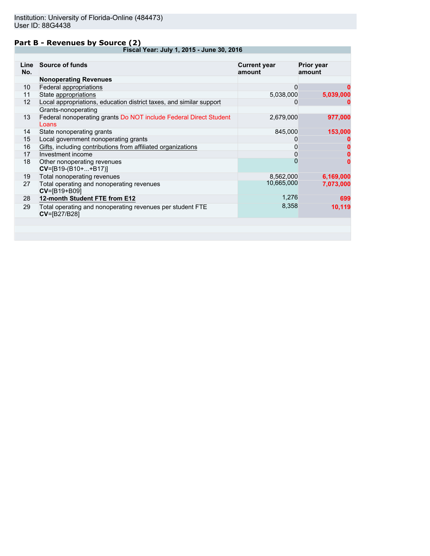### **Part B - Revenues by Source (2)**

**Fiscal Year: July 1, 2015 - June 30, 2016**

| Line<br>No. | <b>Source of funds</b>                                                        | <b>Current year</b><br>amount | <b>Prior year</b><br>amount |
|-------------|-------------------------------------------------------------------------------|-------------------------------|-----------------------------|
|             | <b>Nonoperating Revenues</b>                                                  |                               |                             |
| 10          | Federal appropriations                                                        | 0                             | 0                           |
| 11          | State appropriations                                                          | 5,038,000                     | 5,039,000                   |
| 12          | Local appropriations, education district taxes, and similar support           | 0                             |                             |
|             | Grants-nonoperating                                                           |                               |                             |
| 13          | Federal nonoperating grants Do NOT include Federal Direct Student<br>Loans    | 2,679,000                     | 977,000                     |
| 14          | State nonoperating grants                                                     | 845,000                       | 153,000                     |
| 15          | Local government nonoperating grants                                          |                               |                             |
| 16          | Gifts, including contributions from affiliated organizations                  | 0                             |                             |
| 17          | Investment income                                                             | 0                             |                             |
| 18          | Other nonoperating revenues<br>$CV=[B19-(B10++B17)]$                          | 0                             | 0                           |
| 19          | Total nonoperating revenues                                                   | 8,562,000                     | 6,169,000                   |
| 27          | Total operating and nonoperating revenues<br>CV=[B19+B09]                     | 10,665,000                    | 7,073,000                   |
| 28          | 12-month Student FTE from E12                                                 | 1,276                         | 699                         |
| 29          | Total operating and nonoperating revenues per student FTE<br>$CV = [B27/B28]$ | 8,358                         | 10,119                      |
|             |                                                                               |                               |                             |
|             |                                                                               |                               |                             |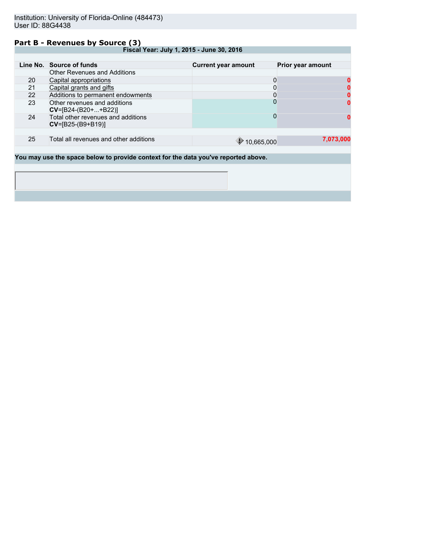#### **Part B - Revenues by Source (3)**

**Fiscal Year: July 1, 2015 - June 30, 2016**

|    | Line No. Source of funds                                                          | <b>Current year amount</b> | Prior year amount |
|----|-----------------------------------------------------------------------------------|----------------------------|-------------------|
|    | <b>Other Revenues and Additions</b>                                               |                            |                   |
| 20 | Capital appropriations                                                            | 0                          |                   |
| 21 | Capital grants and gifts                                                          | 0                          |                   |
| 22 | Additions to permanent endowments                                                 | 0                          |                   |
| 23 | Other revenues and additions<br>$CV=[B24-(B20++B22)]$                             | 0                          |                   |
| 24 | Total other revenues and additions<br>$CV = [B25-(B9+B19)]$                       | 0                          |                   |
|    |                                                                                   |                            |                   |
| 25 | Total all revenues and other additions                                            | $\downarrow$ 10,665,000    | 7,073,000         |
|    |                                                                                   |                            |                   |
|    | Vou may use the space below to provide context for the data voulye reported above |                            |                   |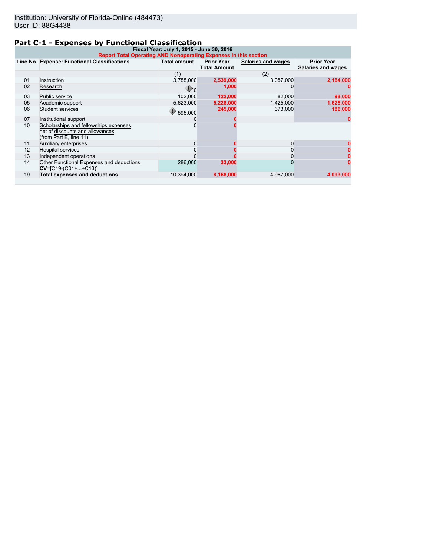# **Part C-1 - Expenses by Functional Classification**

| Fiscal Year: July 1, 2015 - June 30, 2016<br><b>Report Total Operating AND Nonoperating Expenses in this section</b> |                                                                                                     |                     |                                          |                    |                                         |
|----------------------------------------------------------------------------------------------------------------------|-----------------------------------------------------------------------------------------------------|---------------------|------------------------------------------|--------------------|-----------------------------------------|
|                                                                                                                      | Line No. Expense: Functional Classifications                                                        | <b>Total amount</b> | <b>Prior Year</b><br><b>Total Amount</b> | Salaries and wages | <b>Prior Year</b><br>Salaries and wages |
|                                                                                                                      |                                                                                                     | (1)                 |                                          | (2)                |                                         |
| 01                                                                                                                   | Instruction                                                                                         | 3,788,000           | 2,539,000                                | 3,087,000          | 2,184,000                               |
| 02                                                                                                                   | Research                                                                                            | ⊕ o                 | 1,000                                    |                    |                                         |
| 03                                                                                                                   | Public service                                                                                      | 102.000             | 122,000                                  | 82,000             | 98,000                                  |
| 05                                                                                                                   | Academic support                                                                                    | 5,623,000           | 5,228,000                                | 1,425,000          | 1,625,000                               |
| 06                                                                                                                   | <b>Student services</b>                                                                             | 595.000             | 245.000                                  | 373,000            | 186,000                                 |
| 07                                                                                                                   | Institutional support                                                                               |                     |                                          |                    |                                         |
| 10                                                                                                                   | Scholarships and fellowships expenses,<br>net of discounts and allowances<br>(from Part E, line 11) |                     |                                          |                    |                                         |
| 11                                                                                                                   | Auxiliary enterprises                                                                               | $\Omega$            |                                          | $\Omega$           |                                         |
| 12                                                                                                                   | <b>Hospital services</b>                                                                            |                     |                                          |                    |                                         |
| 13                                                                                                                   | Independent operations                                                                              |                     |                                          |                    |                                         |
| 14                                                                                                                   | Other Functional Expenses and deductions<br>$CV=[C19-(C01++C13)]$                                   | 286,000             | 33,000                                   |                    |                                         |
| 19                                                                                                                   | <b>Total expenses and deductions</b>                                                                | 10.394.000          | 8,168,000                                | 4,967,000          | 4,093,000                               |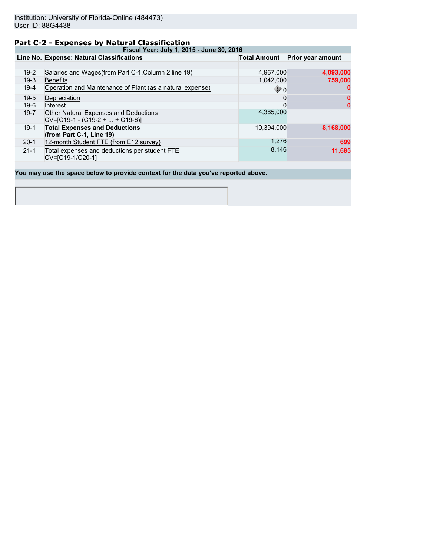## **Part C-2 - Expenses by Natural Classification**

**Fiscal Year: July 1, 2015 - June 30, 2016**

|          | Line No. Expense: Natural Classifications                                  | Total Amount      | Prior year amount |
|----------|----------------------------------------------------------------------------|-------------------|-------------------|
|          |                                                                            |                   |                   |
| $19-2$   | Salaries and Wages (from Part C-1, Column 2 line 19)                       | 4,967,000         | 4,093,000         |
| $19-3$   | <b>Benefits</b>                                                            | 1,042,000         | 759,000           |
| $19-4$   | Operation and Maintenance of Plant (as a natural expense)                  | $\mathbf{\Phi}$ o | 0                 |
| $19-5$   | Depreciation                                                               | 0                 | 0                 |
| $19-6$   | Interest                                                                   | 0                 | 0                 |
| $19 - 7$ | Other Natural Expenses and Deductions<br>$CV=[C19-1 - (C19-2 +  + C19-6)]$ | 4,385,000         |                   |
| $19-1$   | <b>Total Expenses and Deductions</b><br>(from Part C-1, Line 19)           | 10.394.000        | 8,168,000         |
| $20-1$   | 12-month Student FTE (from E12 survey)                                     | 1.276             | 699               |
| $21 - 1$ | Total expenses and deductions per student FTE<br>CV=[C19-1/C20-1]          | 8,146             | 11,685            |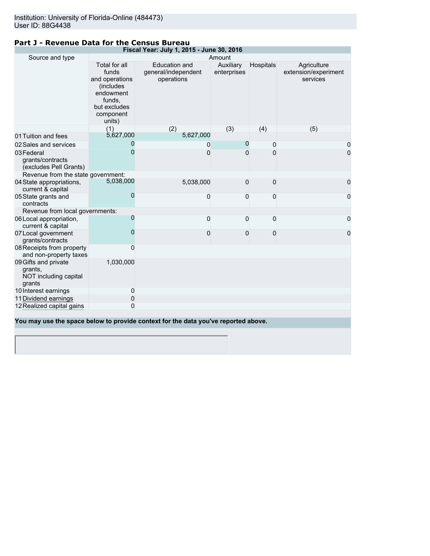# **Part J - Revenue Data for the Census Bureau**

| Fiscal Year: July 1, 2015 - June 30, 2016                          |                                                                                                                     |                                                                                    |                          |           |                                                 |
|--------------------------------------------------------------------|---------------------------------------------------------------------------------------------------------------------|------------------------------------------------------------------------------------|--------------------------|-----------|-------------------------------------------------|
| Source and type                                                    |                                                                                                                     |                                                                                    | Amount                   |           |                                                 |
|                                                                    | Total for all<br>funds<br>and operations<br>(includes<br>endowment<br>funds,<br>but excludes<br>component<br>units) | <b>Education and</b><br>general/independent<br>operations                          | Auxiliary<br>enterprises | Hospitals | Agriculture<br>extension/experiment<br>services |
|                                                                    | (1)                                                                                                                 | (2)                                                                                | (3)                      | (4)       | (5)                                             |
| 01 Tuition and fees                                                | 5,627,000                                                                                                           | 5,627,000                                                                          |                          |           |                                                 |
| 02 Sales and services                                              | 0                                                                                                                   | 0                                                                                  | $\overline{0}$           | 0         | 0                                               |
| 03 Federal<br>grants/contracts<br>(excludes Pell Grants)           | 0                                                                                                                   | $\Omega$                                                                           | 0                        | 0         | 0                                               |
| Revenue from the state government:                                 |                                                                                                                     |                                                                                    |                          |           |                                                 |
| 04 State appropriations,<br>current & capital                      | 5,038,000                                                                                                           | 5,038,000                                                                          | 0                        | 0         | 0                                               |
| 05 State grants and<br>contracts                                   | 0                                                                                                                   | 0                                                                                  | 0                        | 0         | 0                                               |
| Revenue from local governments:                                    |                                                                                                                     |                                                                                    |                          |           |                                                 |
| 06 Local appropriation,<br>current & capital                       | $\mathbf 0$                                                                                                         | $\mathbf 0$                                                                        | 0                        | 0         | 0                                               |
| 07 Local government<br>grants/contracts                            | $\mathbf{0}$                                                                                                        | $\mathbf{0}$                                                                       | $\mathbf{0}$             | 0         | 0                                               |
| 08 Receipts from property<br>and non-property taxes                | 0                                                                                                                   |                                                                                    |                          |           |                                                 |
| 09 Gifts and private<br>grants,<br>NOT including capital<br>grants | 1,030,000                                                                                                           |                                                                                    |                          |           |                                                 |
| 10 Interest earnings                                               | 0                                                                                                                   |                                                                                    |                          |           |                                                 |
| 11 Dividend earnings                                               | 0                                                                                                                   |                                                                                    |                          |           |                                                 |
| 12 Realized capital gains                                          | 0                                                                                                                   |                                                                                    |                          |           |                                                 |
|                                                                    |                                                                                                                     | You may use the space below to provide context for the data you've reported above. |                          |           |                                                 |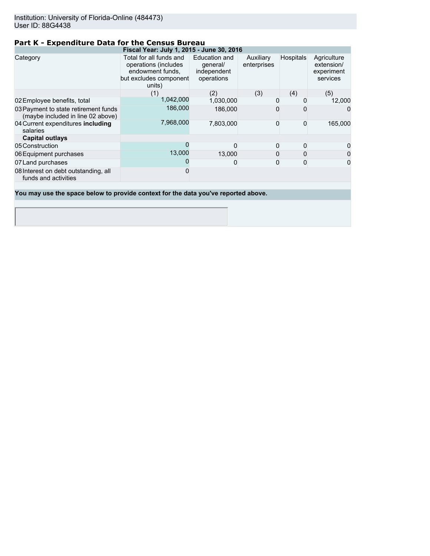# **Part K - Expenditure Data for the Census Bureau**

|                                                                           | Fiscal Year: July 1, 2015 - June 30, 2016                                                               |                                                        |                          |                  |                                                     |
|---------------------------------------------------------------------------|---------------------------------------------------------------------------------------------------------|--------------------------------------------------------|--------------------------|------------------|-----------------------------------------------------|
| Category                                                                  | Total for all funds and<br>operations (includes<br>endowment funds,<br>but excludes component<br>units) | Education and<br>general/<br>independent<br>operations | Auxiliary<br>enterprises | <b>Hospitals</b> | Agriculture<br>extension/<br>experiment<br>services |
|                                                                           | (1)                                                                                                     | (2)                                                    | (3)                      | (4)              | (5)                                                 |
| 02 Employee benefits, total                                               | 1,042,000                                                                                               | 1,030,000                                              | 0                        |                  | 12,000                                              |
| 03 Payment to state retirement funds<br>(maybe included in line 02 above) | 186,000                                                                                                 | 186,000                                                | 0                        |                  | $\Omega$                                            |
| 04 Current expenditures including<br>salaries                             | 7,968,000                                                                                               | 7,803,000                                              | $\mathbf{0}$             | $\Omega$         | 165,000                                             |
| <b>Capital outlays</b>                                                    |                                                                                                         |                                                        |                          |                  |                                                     |
| 05 Construction                                                           | O                                                                                                       |                                                        | 0                        | 0                | 0                                                   |
| 06 Equipment purchases                                                    | 13,000                                                                                                  | 13,000                                                 | 0                        | 0                | $\mathbf 0$                                         |
| 07 Land purchases                                                         |                                                                                                         | O                                                      | 0                        | 0                | $\mathbf 0$                                         |
| 08 Interest on debt outstanding, all<br>funds and activities              |                                                                                                         |                                                        |                          |                  |                                                     |
|                                                                           |                                                                                                         |                                                        |                          |                  |                                                     |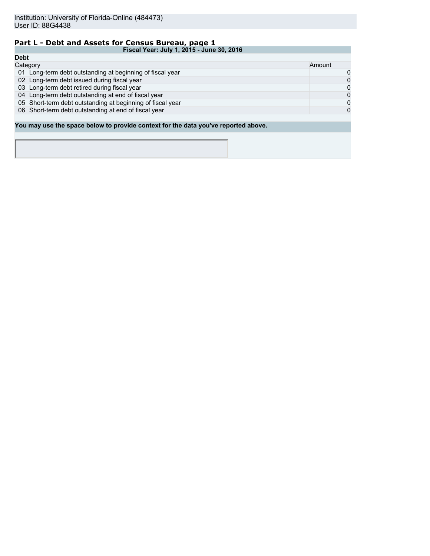# **Part L - Debt and Assets for Census Bureau, page 1**

|             | Fiscal Year: July 1, 2015 - June 30, 2016                                          |        |
|-------------|------------------------------------------------------------------------------------|--------|
| <b>Debt</b> |                                                                                    |        |
|             | Category                                                                           | Amount |
|             | 01 Long-term debt outstanding at beginning of fiscal year                          | 0      |
|             | 02 Long-term debt issued during fiscal year                                        | 0      |
|             | 03 Long-term debt retired during fiscal year                                       | 0      |
|             | 04 Long-term debt outstanding at end of fiscal year                                | 0      |
|             | 05 Short-term debt outstanding at beginning of fiscal year                         | 0      |
|             | 06 Short-term debt outstanding at end of fiscal year                               | 0      |
|             |                                                                                    |        |
|             | You may use the space below to provide context for the data you've reported above. |        |
|             |                                                                                    |        |
|             |                                                                                    |        |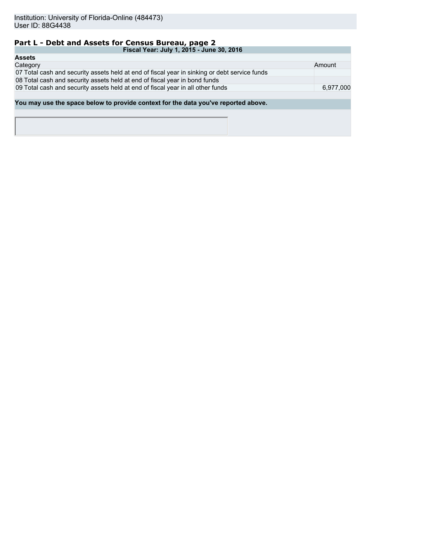# **Part L - Debt and Assets for Census Bureau, page 2**

| Fiscal Year: July 1, 2015 - June 30, 2016                                                     |           |
|-----------------------------------------------------------------------------------------------|-----------|
| <b>Assets</b>                                                                                 |           |
| Category                                                                                      | Amount    |
| 07 Total cash and security assets held at end of fiscal year in sinking or debt service funds |           |
| 08 Total cash and security assets held at end of fiscal year in bond funds                    |           |
| 09 Total cash and security assets held at end of fiscal year in all other funds               | 6,977,000 |
|                                                                                               |           |
| You may use the space below to provide context for the data you've reported above.            |           |
|                                                                                               |           |
|                                                                                               |           |
|                                                                                               |           |
|                                                                                               |           |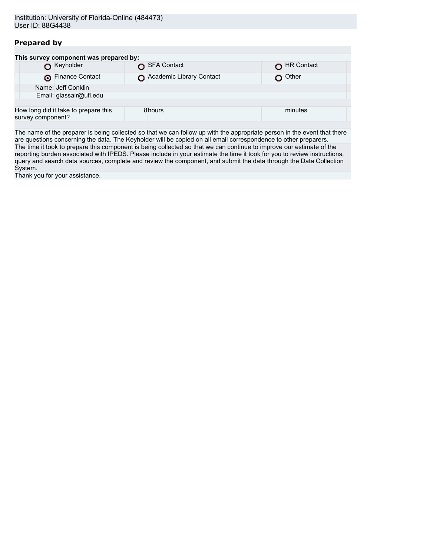# **Prepared by**

|                   | This survey component was prepared by: |                          |            |  |
|-------------------|----------------------------------------|--------------------------|------------|--|
|                   | Keyholder                              | SFA Contact              | HR Contact |  |
|                   | Finance Contact                        | Academic Library Contact | Other      |  |
|                   | Name: Jeff Conklin                     |                          |            |  |
|                   | Email: glassair@ufl.edu                |                          |            |  |
|                   |                                        |                          |            |  |
| survey component? | How long did it take to prepare this   | 8hours                   | minutes    |  |
|                   |                                        |                          |            |  |

The name of the preparer is being collected so that we can follow up with the appropriate person in the event that there are questions concerning the data. The Keyholder will be copied on all email correspondence to other preparers. The time it took to prepare this component is being collected so that we can continue to improve our estimate of the reporting burden associated with IPEDS. Please include in your estimate the time it took for you to review instructions, query and search data sources, complete and review the component, and submit the data through the Data Collection System.

Thank you for your assistance.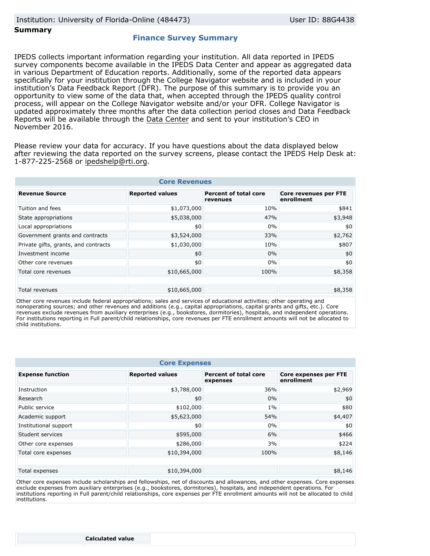#### **Summary**

## **Finance Survey Summary**

IPEDS collects important information regarding your institution. All data reported in IPEDS survey components become available in the IPEDS Data Center and appear as aggregated data in various Department of Education reports. Additionally, some of the reported data appears specifically for your institution through the College Navigator website and is included in your institution's Data Feedback Report (DFR). The purpose of this summary is to provide you an opportunity to view some of the data that, when accepted through the IPEDS quality control process, will appear on the College Navigator website and/or your DFR. College Navigator is updated approximately three months after the data collection period closes and Data Feedback Reports will be available through the [Data Center](http://nces.ed.gov/ipeds/datacenter/) and sent to your institution's CEO in November 2016.

Please review your data for accuracy. If you have questions about the data displayed below after reviewing the data reported on the survey screens, please contact the IPEDS Help Desk at: 1-877-225-2568 or ipedshelp@rti.org.

| <b>Core Revenues</b>                 |                        |                                          |                                     |  |  |
|--------------------------------------|------------------------|------------------------------------------|-------------------------------------|--|--|
| <b>Revenue Source</b>                | <b>Reported values</b> | <b>Percent of total core</b><br>revenues | Core revenues per FTE<br>enrollment |  |  |
| Tuition and fees                     | \$1,073,000            | 10%                                      | \$841                               |  |  |
| State appropriations                 | \$5,038,000            | 47%                                      | \$3,948                             |  |  |
| Local appropriations                 | \$0                    | 0%                                       | \$0                                 |  |  |
| Government grants and contracts      | \$3,524,000            | 33%                                      | \$2,762                             |  |  |
| Private gifts, grants, and contracts | \$1,030,000            | 10%                                      | \$807                               |  |  |
| Investment income                    | \$0                    | 0%                                       | \$0                                 |  |  |
| Other core revenues                  | \$0                    | 0%                                       | \$0                                 |  |  |
| Total core revenues                  | \$10,665,000           | 100%                                     | \$8,358                             |  |  |
|                                      |                        |                                          |                                     |  |  |
| Total revenues                       | \$10,665,000           |                                          | \$8,358                             |  |  |

Other core revenues include federal appropriations; sales and services of educational activities; other operating and nonoperating sources; and other revenues and additions (e.g., capital appropriations, capital grants and gifts, etc.). Core revenues exclude revenues from auxiliary enterprises (e.g., bookstores, dormitories), hospitals, and independent operations. For institutions reporting in Full parent/child relationships, core revenues per FTE enrollment amounts will not be allocated to child institutions.

| <b>Core Expenses</b>    |                        |                                          |                                            |  |  |
|-------------------------|------------------------|------------------------------------------|--------------------------------------------|--|--|
| <b>Expense function</b> | <b>Reported values</b> | <b>Percent of total core</b><br>expenses | <b>Core expenses per FTE</b><br>enrollment |  |  |
| Instruction             | \$3,788,000            | 36%                                      | \$2,969                                    |  |  |
| Research                | \$0                    | 0%                                       | \$0                                        |  |  |
| Public service          | \$102,000              | $1\%$                                    | \$80                                       |  |  |
| Academic support        | \$5,623,000            | 54%                                      | \$4,407                                    |  |  |
| Institutional support   | \$0                    | 0%                                       | \$0                                        |  |  |
| Student services        | \$595,000              | 6%                                       | \$466                                      |  |  |
| Other core expenses     | \$286,000              | 3%                                       | \$224                                      |  |  |
| Total core expenses     | \$10,394,000           | 100%                                     | \$8,146                                    |  |  |
| Total expenses          | \$10,394,000           |                                          | \$8,146                                    |  |  |

Other core expenses include scholarships and fellowships, net of discounts and allowances, and other expenses. Core expenses exclude expenses from auxiliary enterprises (e.g., bookstores, dormitories), hospitals, and independent operations. For institutions reporting in Full parent/child relationships, core expenses per FTE enrollment amounts will not be allocated to child institutions.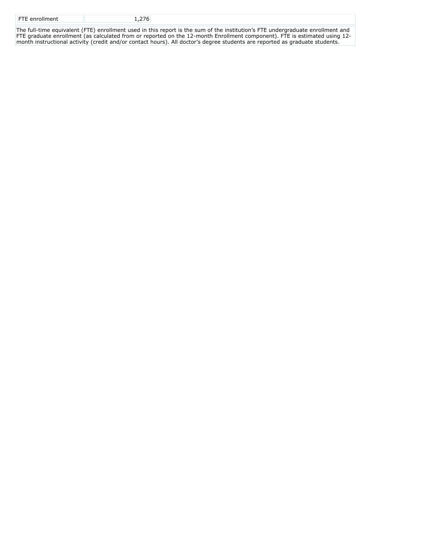| <b>FTE</b> enrollment |  |
|-----------------------|--|
|                       |  |

The full-time equivalent (FTE) enrollment used in this report is the sum of the institution's FTE undergraduate enrollment and FTE graduate enrollment (as calculated from or reported on the 12-month Enrollment component). FTE is estimated using 12 month instructional activity (credit and/or contact hours). All doctor's degree students are reported as graduate students.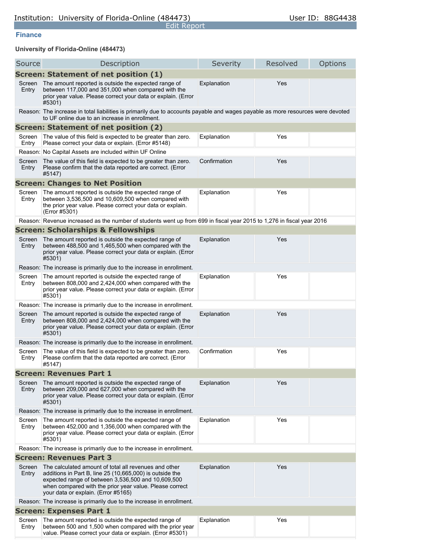#### **Finance**

**University of Florida-Online (484473)**

| Source                                       | Description                                                                                                                                                                                                                                                               | Severity     | Resolved | Options |  |  |  |
|----------------------------------------------|---------------------------------------------------------------------------------------------------------------------------------------------------------------------------------------------------------------------------------------------------------------------------|--------------|----------|---------|--|--|--|
| <b>Screen: Statement of net position (1)</b> |                                                                                                                                                                                                                                                                           |              |          |         |  |  |  |
| Screen<br>Entry                              | The amount reported is outside the expected range of<br>between 117,000 and 351,000 when compared with the<br>prior year value. Please correct your data or explain. (Error<br>#5301)                                                                                     | Explanation  | Yes      |         |  |  |  |
|                                              | Reason: The increase in total liabilities is primarily due to accounts payable and wages payable as more resources were devoted<br>to UF online due to an increase in enrollment.                                                                                         |              |          |         |  |  |  |
|                                              | Screen: Statement of net position (2)                                                                                                                                                                                                                                     |              |          |         |  |  |  |
| Screen<br>Entry                              | The value of this field is expected to be greater than zero.<br>Please correct your data or explain. (Error #5148)                                                                                                                                                        | Explanation  | Yes      |         |  |  |  |
|                                              | Reason: No Capital Assets are included within UF Online                                                                                                                                                                                                                   |              |          |         |  |  |  |
| Screen<br>Entry                              | The value of this field is expected to be greater than zero.<br>Please confirm that the data reported are correct. (Error<br>#5147)                                                                                                                                       | Confirmation | Yes      |         |  |  |  |
|                                              | <b>Screen: Changes to Net Position</b>                                                                                                                                                                                                                                    |              |          |         |  |  |  |
| Screen<br>Entry                              | The amount reported is outside the expected range of<br>between 3,536,500 and 10,609,500 when compared with<br>the prior year value. Please correct your data or explain.<br>(Error #5301)                                                                                | Explanation  | Yes      |         |  |  |  |
|                                              | Reason: Revenue increased as the number of students went up from 699 in fiscal year 2015 to 1,276 in fiscal year 2016                                                                                                                                                     |              |          |         |  |  |  |
|                                              | <b>Screen: Scholarships &amp; Fellowships</b>                                                                                                                                                                                                                             |              |          |         |  |  |  |
| Screen<br>Entry                              | The amount reported is outside the expected range of<br>between 488,500 and 1,465,500 when compared with the<br>prior year value. Please correct your data or explain. (Error<br>#5301)                                                                                   | Explanation  | Yes      |         |  |  |  |
|                                              | Reason: The increase is primarily due to the increase in enrollment.                                                                                                                                                                                                      |              |          |         |  |  |  |
| Screen<br>Entry                              | The amount reported is outside the expected range of<br>between 808,000 and 2,424,000 when compared with the<br>prior year value. Please correct your data or explain. (Error<br>#5301)                                                                                   | Explanation  | Yes      |         |  |  |  |
|                                              | Reason: The increase is primarily due to the increase in enrollment.                                                                                                                                                                                                      |              |          |         |  |  |  |
| Screen<br>Entry                              | The amount reported is outside the expected range of<br>between 808,000 and 2,424,000 when compared with the<br>prior year value. Please correct your data or explain. (Error<br>#5301)                                                                                   | Explanation  | Yes      |         |  |  |  |
|                                              | Reason: The increase is primarily due to the increase in enrollment.                                                                                                                                                                                                      |              |          |         |  |  |  |
| Screen<br>Entry                              | The value of this field is expected to be greater than zero.<br>Please confirm that the data reported are correct. (Error<br>#5147)                                                                                                                                       | Confirmation | Yes      |         |  |  |  |
|                                              | <b>Screen: Revenues Part 1</b>                                                                                                                                                                                                                                            |              |          |         |  |  |  |
| Screen<br>Entry                              | The amount reported is outside the expected range of<br>between 209,000 and 627,000 when compared with the<br>prior year value. Please correct your data or explain. (Error<br>#5301)                                                                                     | Explanation  | Yes      |         |  |  |  |
|                                              | Reason: The increase is primarily due to the increase in enrollment.                                                                                                                                                                                                      |              |          |         |  |  |  |
| Screen<br>Entry                              | The amount reported is outside the expected range of<br>between 452,000 and 1,356,000 when compared with the<br>prior year value. Please correct your data or explain. (Error<br>#5301)                                                                                   | Explanation  | Yes      |         |  |  |  |
|                                              | Reason: The increase is primarily due to the increase in enrollment.                                                                                                                                                                                                      |              |          |         |  |  |  |
|                                              | <b>Screen: Revenues Part 3</b>                                                                                                                                                                                                                                            |              |          |         |  |  |  |
| Screen<br>Entry                              | The calculated amount of total all revenues and other<br>additions in Part B, line 25 (10,665,000) is outside the<br>expected range of between 3,536,500 and 10,609,500<br>when compared with the prior year value. Please correct<br>your data or explain. (Error #5165) | Explanation  | Yes      |         |  |  |  |
|                                              | Reason: The increase is primarily due to the increase in enrollment.                                                                                                                                                                                                      |              |          |         |  |  |  |
|                                              | <b>Screen: Expenses Part 1</b>                                                                                                                                                                                                                                            |              |          |         |  |  |  |
| Screen<br>Entry                              | The amount reported is outside the expected range of<br>between 500 and 1,500 when compared with the prior year<br>value. Please correct your data or explain. (Error #5301)                                                                                              | Explanation  | Yes      |         |  |  |  |

Edit Report